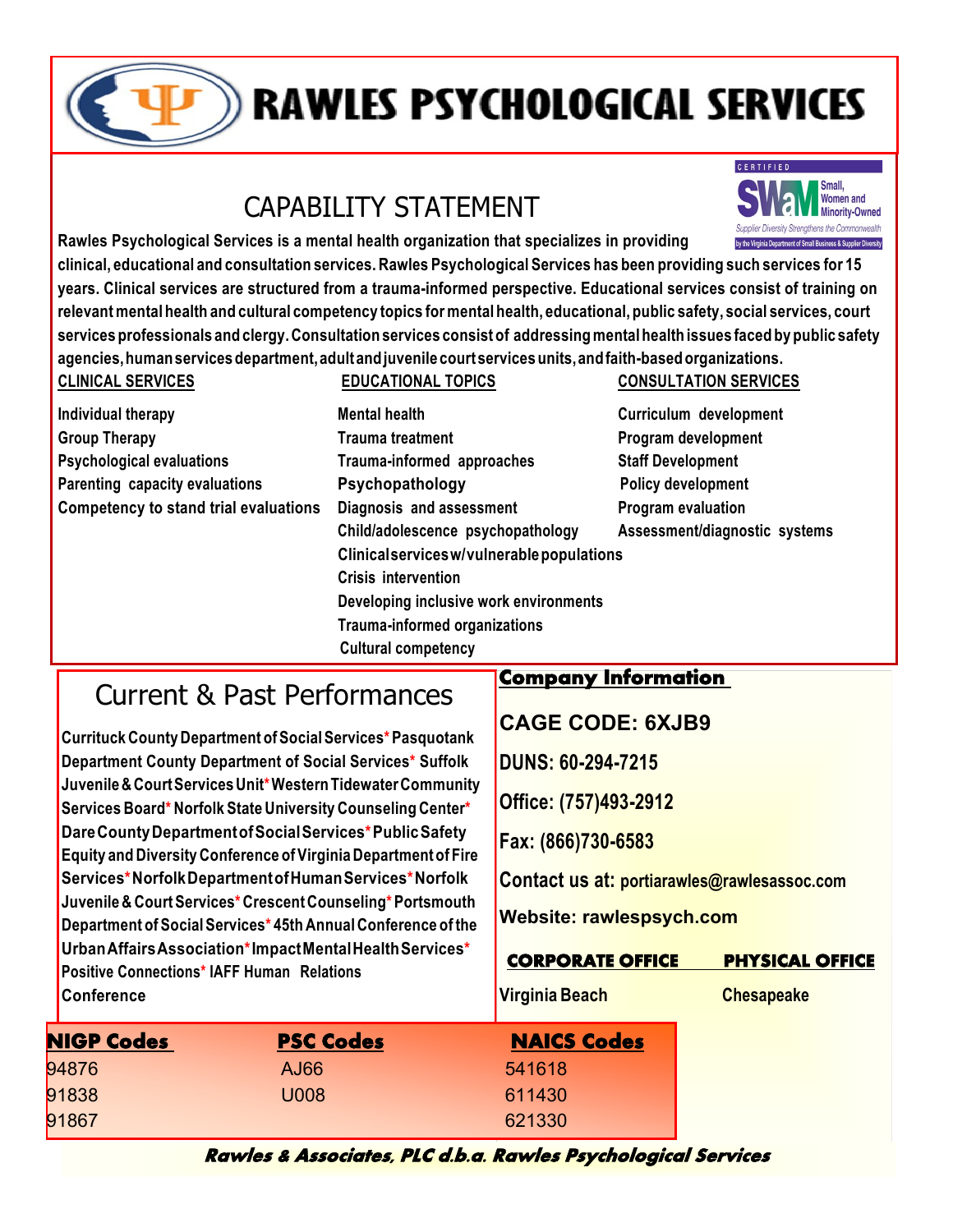

# **RAWLES PSYCHOLOGICAL SERVICES**

## CAPABILITY STATEMENT



**Rawles Psychological Services is a mental health organization that specializes in providing clinical, educational and consultation services. Rawles Psychological Services has been providing such services for 15 years. Clinical services are structured from a trauma-informed perspective. Educational services consist of training on**  relevant mental health and cultural competency topics for mental health, educational, public safety, social services, court services professionals and clergy. Consultation services consist of addressing mental health issues faced by public safety **agencies,humanservicesdepartment,adultandjuvenile courtservicesunits,andfaith-basedorganizations. CLINICAL SERVICES EDUCATIONAL TOPICS**

| <b><i>ULIINIUAL JENVIUEJ</i></b>             | EDUCATIONAL TUFICO                         | <b>UUINJULI ATIUN JEN'</b> |
|----------------------------------------------|--------------------------------------------|----------------------------|
| Individual therapy                           | <b>Mental health</b>                       | Curriculum developm        |
| <b>Group Therapy</b>                         | <b>Trauma treatment</b>                    | Program development        |
| <b>Psychological evaluations</b>             | Trauma-informed approaches                 | <b>Staff Development</b>   |
| Parenting capacity evaluations               | Psychopathology                            | <b>Policy development</b>  |
| <b>Competency to stand trial evaluations</b> | Diagnosis and assessment                   | <b>Program evaluation</b>  |
|                                              | Child/adolescence psychopathology          | Assessment/diagnosti       |
|                                              | Clinical services w/vulnerable populations |                            |
|                                              | <b>Crisis intervention</b>                 |                            |
|                                              | Developing inclusive work environments     |                            |
|                                              | <b>Trauma-informed organizations</b>       |                            |
|                                              | <b>Cultural competency</b>                 |                            |

#### **CONSULTATION SERVICES**

**Curriculum development Child/adolescence psychopathology Assessment/diagnostic systems**

## Current & Past Performances

**Currituck County Department ofSocialServices\* Pasquotank Department County Department of Social Services\* Suffolk Juvenile& CourtServicesUnit\*WesternTidewaterCommunity Services Board\* Norfolk State University Counseling Center\* DareCountyDepartmentofSocialServices\*PublicSafety Equity and Diversity Conference ofVirginia Departmentof Fire Services\*NorfolkDepartmentofHumanServices\*Norfolk Juvenile & CourtServices\* Crescent Counseling\*Portsmouth Department of SocialServices\* 45th Annual Conference of the UrbanAffairsAssociation\*ImpactMentalHealthServices\* Positive Connections\* IAFF Human Relations Conference**

#### **Company Information**

**CAGE CODE: 6XJB9** 

**DUNS: 60-294-7215**

**Office: (757)493-2912**

**Fax: (866)730-6583**

**Contact us at: portiarawles@rawlesassoc.com**

**Website: rawlespsych.com**

| <b>CORPORATE OFFICE</b> | <b>PHYSICAL OFFICE</b> |
|-------------------------|------------------------|
|-------------------------|------------------------|

**Virginia Beach Chesapeake** 

| <b>NIGP Codes</b> | <b>PSC Codes</b> | <b>NAICS Codes</b> |
|-------------------|------------------|--------------------|
| 94876             | AJ66             | 541618             |
| 91838             | U008             | 611430             |
| 91867             |                  | 621330             |
|                   |                  |                    |

**Rawles & Associates, PLC d.b.a. Rawles Psychological Services**